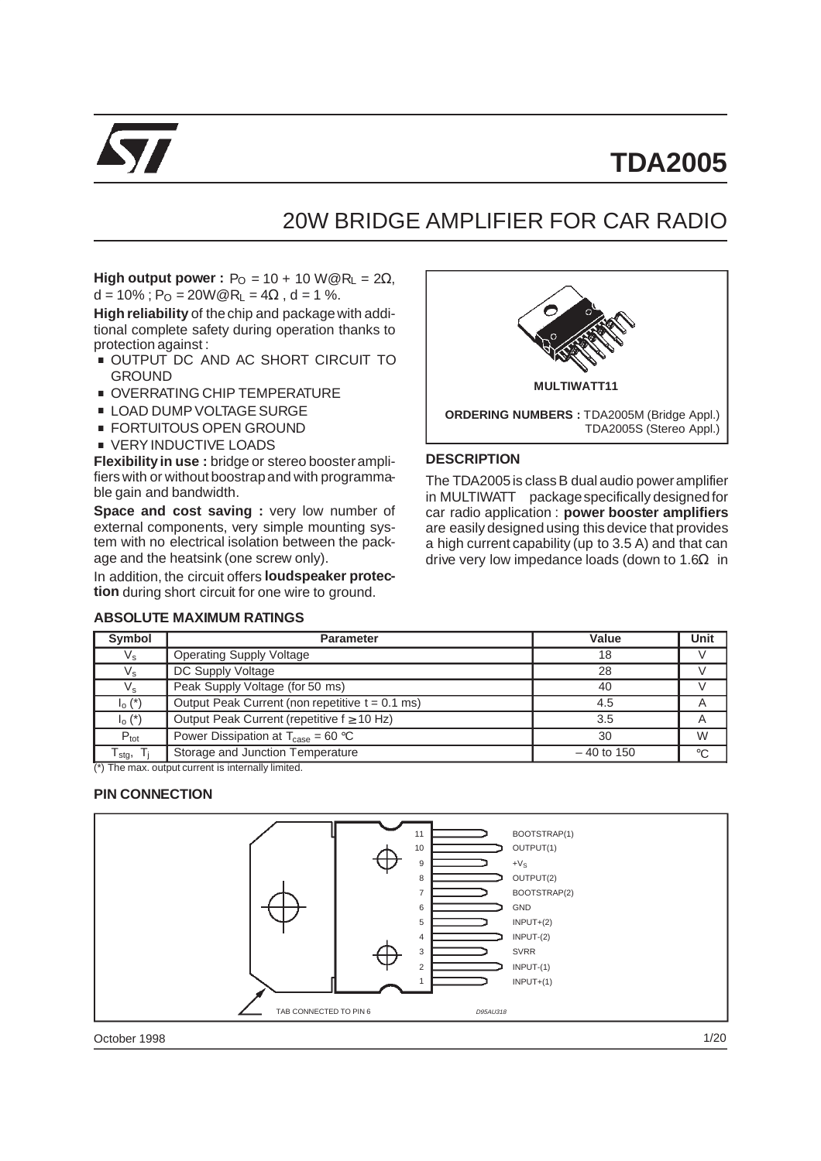

# **TDA2005**

# 20W BRIDGE AMPLIFIER FOR CAR RADIO

**High output power :**  $P_{\text{O}} = 10 + 10 \text{ W} \textcircled{R}_{\text{L}} = 2\Omega$ ,  $d = 10\%$ ; P<sub>O</sub> = 20W@R<sub>I</sub> = 4 $\Omega$ , d = 1 %.

**High reliability** of the chip and package with additional complete safety during operation thanks to<br>protection against :<br>■ OUTPUT DC AND AC SHORT CIRCUIT TO protection against :<br>■ OUTPUT DC\_AND\_AC\_SHORT\_CIRCUIT\_TO

- GROUND ■ OUTPUT DC AND AC SHORT CIRE<br>GROUND<br>■ OVERRATING CHIP TEMPERATURE
- 
- .<br>■ OVERRATING CHIP TEMPERAT<br>■ LOAD DUMP VOLTAGE SURGE LOAD DUMP VOLTAGE SURGE<br>FORTUITOUS OPEN GROUND
- 
- **U** VERY INDUCTIVE LOADS

**Flexibilityin use :** bridge or stereo boosteramplifiers with or without boostrapand with programmable gain and bandwidth.

**Space and cost saving :** very low number of external components, very simple mounting system with no electrical isolation between the package and the heatsink (one screw only).

In addition, the circuit offers **loudspeaker protection** during short circuit for one wire to ground.

#### **ABSOLUTE MAXIMUM RATINGS**



#### **DESCRIPTION**

The TDA2005is class B dual audio poweramplifier in MULTIWATT<sup>®</sup> package specifically designed for car radio application : **power booster amplifiers** are easily designed using this device that provides a high current capability (up to 3.5 A) and that can drive very low impedance loads (down to  $1.6\Omega$  in

| Symbol            | <b>Parameter</b>                                       | Value        | Unit        |
|-------------------|--------------------------------------------------------|--------------|-------------|
| $V_{\rm s}$       | <b>Operating Supply Voltage</b>                        | 18           |             |
| $V_{\rm s}$       | DC Supply Voltage                                      | 28           |             |
| $V_{\rm s}$       | Peak Supply Voltage (for 50 ms)                        | 40           |             |
| $I_0$ $(*)$       | Output Peak Current (non repetitive $t = 0.1$ ms)      | 4.5          | A           |
| $I_0$ $(*)$       | Output Peak Current (repetitive $f \geq 10$ Hz)        | 3.5          | Α           |
| $P_{\text{tot}}$  | Power Dissipation at $T_{\text{case}} = 60 \text{ °C}$ | 30           | W           |
| $T_{\text{stg}},$ | Storage and Junction Temperature                       | $-40$ to 150 | $^{\circ}C$ |

(\*) The max. output current is internally limited.

#### **PIN CONNECTION**



October 1998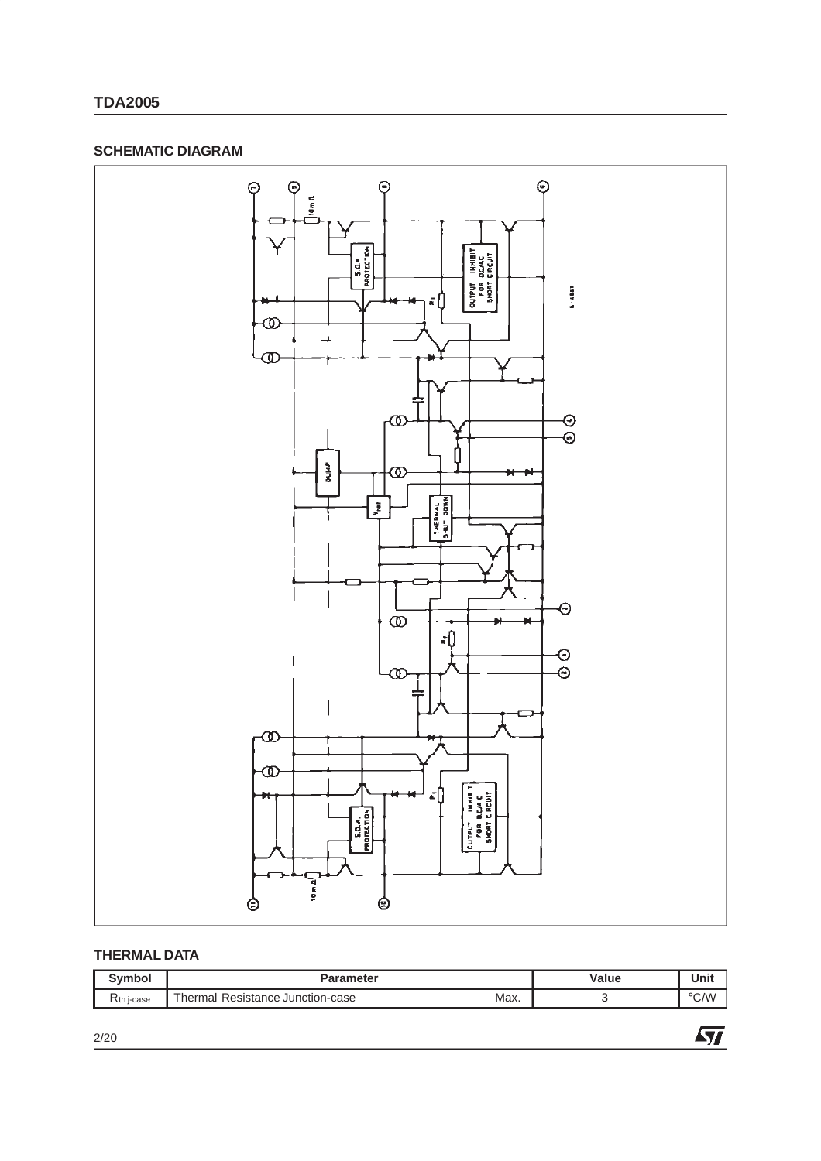#### **SCHEMATIC DIAGRAM**



#### **THERMAL DATA**

| Symbor          | arameter<br>Eles.                                                      | Value | .<br>Unit      |
|-----------------|------------------------------------------------------------------------|-------|----------------|
| $R_{th}$ j-case | $\overline{\phantom{a}}$<br>Max.<br>Resistance Junction-case<br>hermal |       | $^{\circ}$ C/W |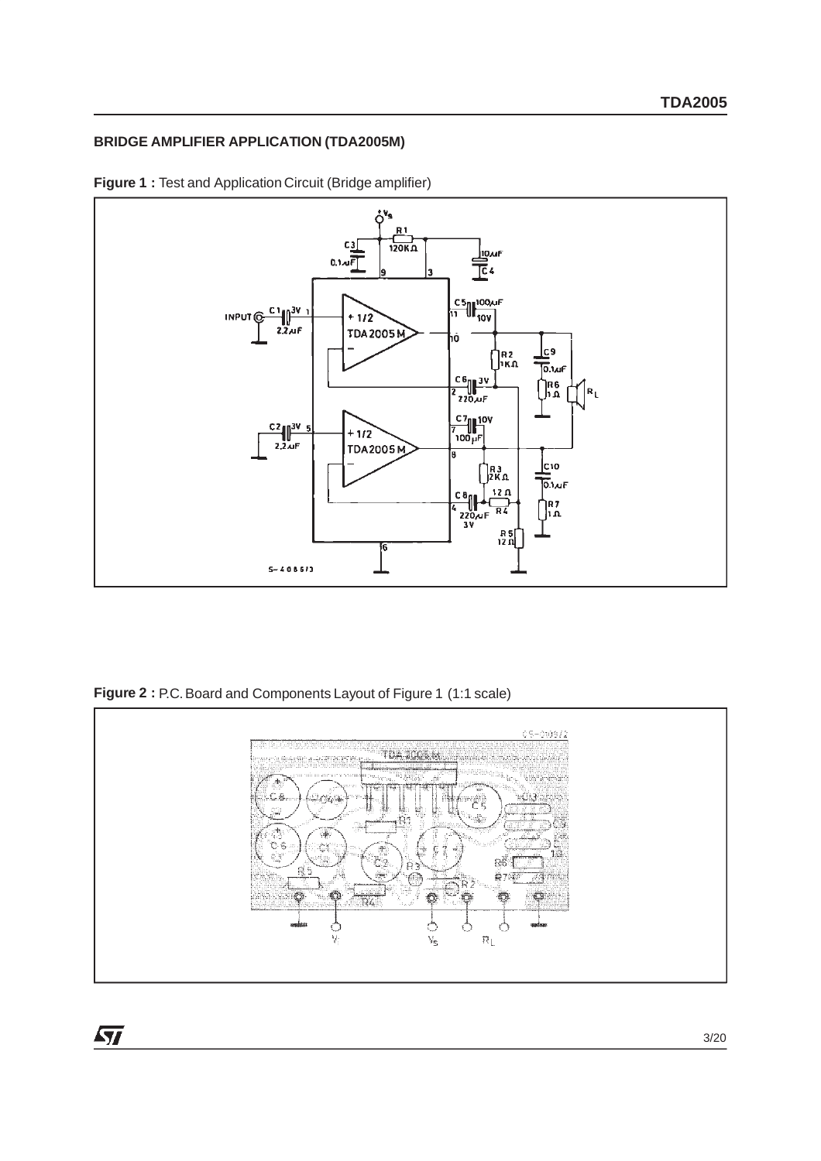#### **BRIDGE AMPLIFIER APPLICATION (TDA2005M)**



**Figure 1 :** Test and Application Circuit (Bridge amplifier)

**Figure 2 :** P.C. Board and Components Layout of Figure 1 (1:1 scale)

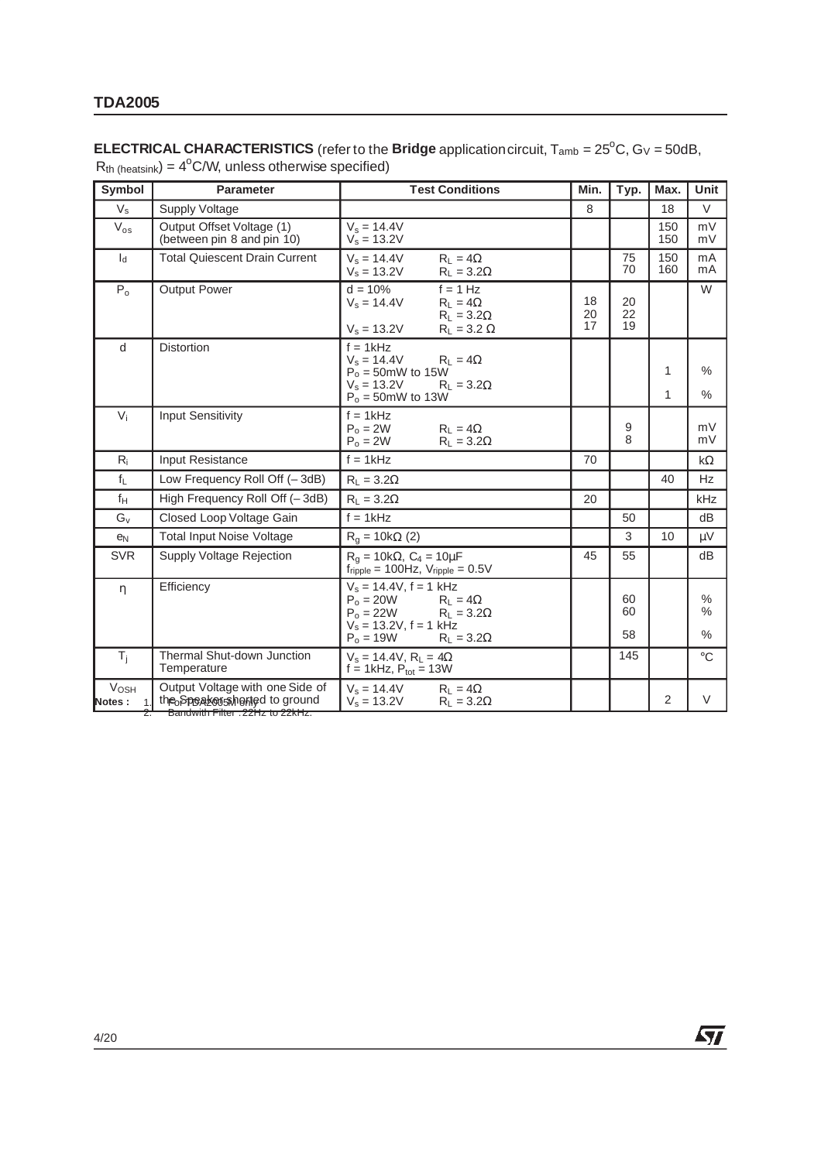#### **ELECTRICAL CHARACTERISTICS** (refer to the **Bridge** application circuit,  $T_{amb} = 25^{\circ}$ C, G $\vee$  = 50dB,  $R_{th}$  (heatsink) =  $4^{\circ}$ C/W, unless otherwise specified)

| Symbol                               | <b>Parameter</b>                                                                                    | <b>Test Conditions</b>                                                                                                                                   | Min.           | Typ.           | Max.       | <b>Unit</b>                            |
|--------------------------------------|-----------------------------------------------------------------------------------------------------|----------------------------------------------------------------------------------------------------------------------------------------------------------|----------------|----------------|------------|----------------------------------------|
| $V_{\rm s}$                          | Supply Voltage                                                                                      |                                                                                                                                                          | 8              |                | 18         | $\vee$                                 |
| $\rm V_{os}$                         | Output Offset Voltage (1)<br>(between pin 8 and pin 10)                                             | $V_s = 14.4V$<br>$V_e = 13.2V$                                                                                                                           |                |                | 150<br>150 | mV<br>mV                               |
| $I_d$                                | <b>Total Quiescent Drain Current</b>                                                                | $V_s = 14.4V$<br>$R_L = 4\Omega$<br>$V_s = 13.2V$<br>$R_L = 3.2\Omega$                                                                                   |                | 75<br>70       | 150<br>160 | mA<br>mA                               |
| $P_0$                                | <b>Output Power</b>                                                                                 | $d = 10%$<br>$f = 1 Hz$<br>$V_s = 14.4V$<br>$R_L = 4\Omega$<br>$R_L = 3.2\Omega$<br>$V_s = 13.2V$<br>$R_L = 3.2 \Omega$                                  | 18<br>20<br>17 | 20<br>22<br>19 |            | W                                      |
| d                                    | <b>Distortion</b>                                                                                   | $f = 1kHz$<br>$V_s = 14.4V$<br>$R_L = 4\Omega$<br>$P_0 = 50$ mW to 15W<br>$V_s = 13.2V$<br>$R_L = 3.2\Omega$<br>$P_0 = 50$ mW to 13W                     |                |                | 1<br>1     | $\frac{0}{0}$<br>$\frac{0}{0}$         |
| $V_i$                                | <b>Input Sensitivity</b>                                                                            | $f = 1kHz$<br>$P_0 = 2W$<br>$R_1 = 4\Omega$<br>$P_o = 2W$<br>$R_L = 3.2\Omega$                                                                           |                | 9<br>8         |            | mV<br>mV                               |
| $R_i$                                | Input Resistance                                                                                    | $f = 1kHz$                                                                                                                                               | 70             |                |            | $k\Omega$                              |
| $f_L$                                | Low Frequency Roll Off (-3dB)                                                                       | $R_1 = 3.2\Omega$                                                                                                                                        |                |                | 40         | Hz                                     |
| $f_H$                                | High Frequency Roll Off (-3dB)                                                                      | $R_L = 3.2\Omega$                                                                                                                                        | 20             |                |            | kHz                                    |
| $G_v$                                | Closed Loop Voltage Gain                                                                            | $f = 1kHz$                                                                                                                                               |                | 50             |            | dB                                     |
| e <sub>N</sub>                       | <b>Total Input Noise Voltage</b>                                                                    | $R_q = 10k\Omega$ (2)                                                                                                                                    |                | 3              | 10         | uV                                     |
| <b>SVR</b>                           | Supply Voltage Rejection                                                                            | $R_{q} = 10k\Omega$ , $C_{4} = 10\mu F$<br>$f_{\text{ripole}} = 100 \text{Hz}$ , $V_{\text{ripole}} = 0.5 \text{V}$                                      | 45             | 55             |            | dB                                     |
| $\eta$                               | Efficiency                                                                                          | $V_s = 14.4V, f = 1 kHz$<br>$P_0 = 20W$ $R_L = 4\Omega$<br>$P_0 = 22W$ $R_L = 3.2\Omega$<br>$V_s = 13.2V, f = 1 kHz$<br>$P_0 = 19W$<br>$R_L = 3.2\Omega$ |                | 60<br>60<br>58 |            | $\%$<br>$\frac{0}{0}$<br>$\frac{0}{0}$ |
| $T_i$                                | Thermal Shut-down Junction<br>Temperature                                                           | $V_s = 14.4V$ , $R_L = 4\Omega$<br>$f = 1$ kHz, $P_{tot} = 13W$                                                                                          |                | 145            |            | $\circ$ C                              |
| <b>Vosh</b><br>Notes:<br>$\mathbf 1$ | Output Voltage with one Side of<br>the Speakers heried to ground<br>Bandwith Filter: 22Hz to 22kHz. | $V_s = 14.4V$<br>$R_L = 4\Omega$<br>$V_s = 13.2V$<br>$R_L = 3.2\Omega$                                                                                   |                |                | 2          | $\vee$                                 |

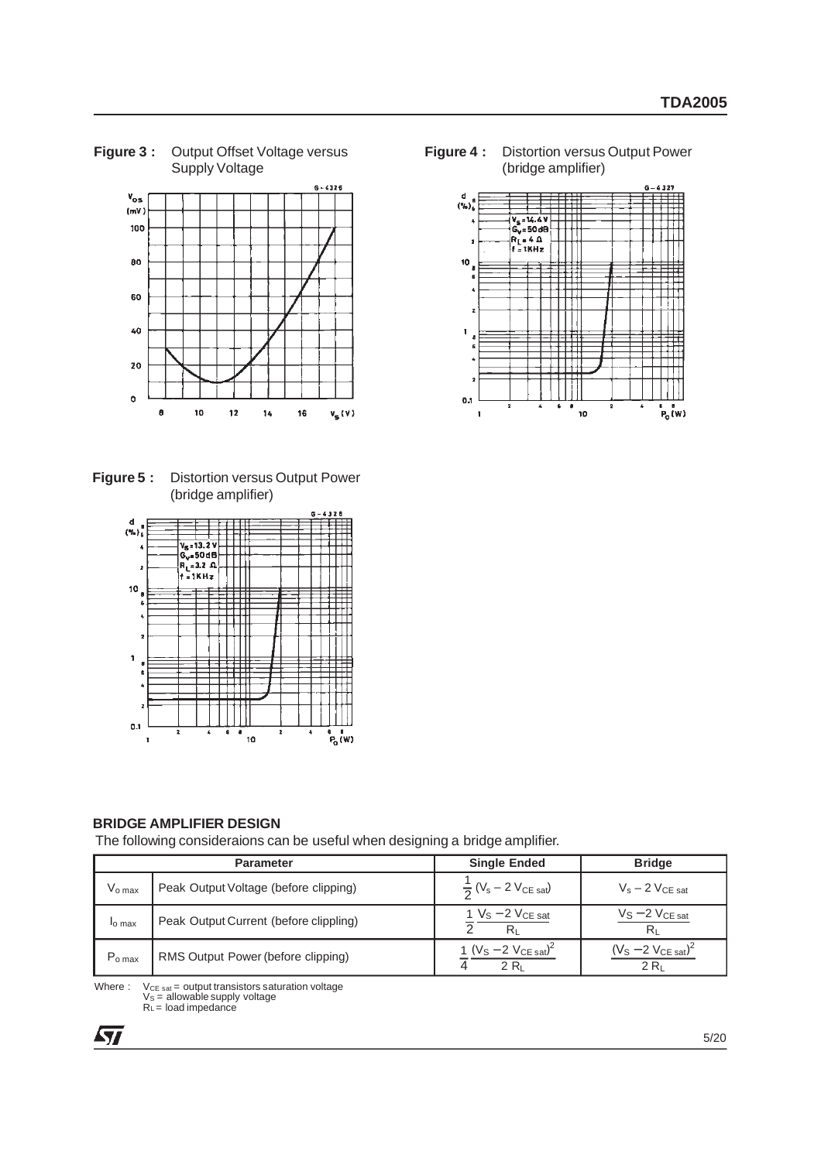**Figure 3 :** Output Offset Voltage versus Supply Voltage



**Figure 5 :** Distortion versus Output Power (bridge amplifier)



**BRIDGE AMPLIFIER DESIGN**

The following consideraions can be useful when designing a bridge amplifier.

|                    | <b>Parameter</b>                       | <b>Single Ended</b>                                     | <b>Bridge</b>                                |
|--------------------|----------------------------------------|---------------------------------------------------------|----------------------------------------------|
| $V_{o \, max}$     | Peak Output Voltage (before clipping)  | $\frac{1}{2}$ (V <sub>s</sub> – 2 V <sub>CE sat</sub> ) | $V_s - 2 V_{CE sat}$                         |
| <sup>l</sup> o max | Peak Output Current (before clippling) | 1 $V_S - 2 V_{CE}$ sat<br>Rı                            | $V_S - 2 V_{CE sat}$                         |
| $P_{o \, max}$     | RMS Output Power (before clipping)     | 1 $(V_S - 2 V_{CE sat})^2$<br>$2R_1$                    | $(V_S - 2 V_{CE sat})^2$<br>2 R <sub>1</sub> |

Where :  $V_{CE\ sat} =$  output transistors saturation voltage VS = allowable supply voltage RL = load impedance

**ST** 

**Figure 4 :** Distortion versus Output Power (bridge amplifier)

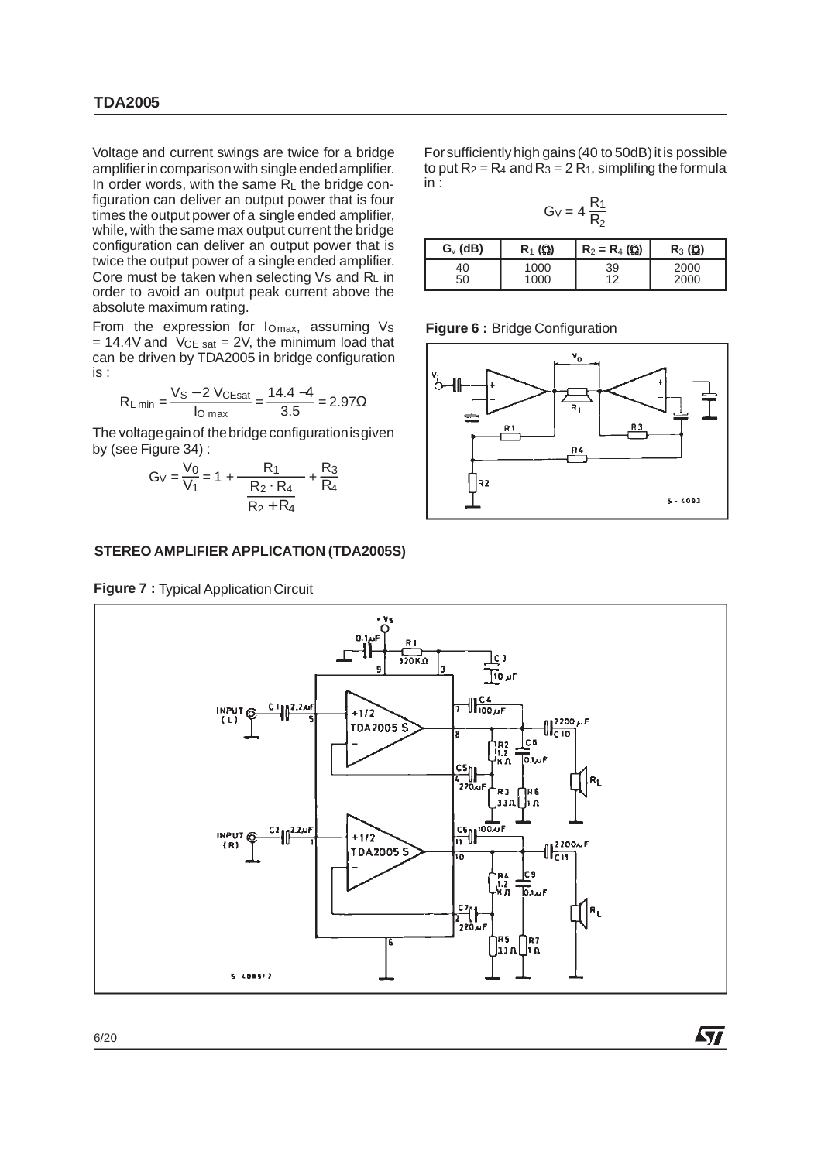Voltage and current swings are twice for a bridge amplifier in comparisonwith single endedamplifier. In order words, with the same  $R<sub>L</sub>$  the bridge configuration can deliver an output power that is four times the output power of a single ended amplifier, while, with the same max output current the bridge configuration can deliver an output power that is twice the output power of a single ended amplifier. Core must be taken when selecting  $Vs$  and  $R<sub>L</sub>$  in order to avoid an output peak current above the absolute maximum rating.

From the expression for  $I_{Omax}$ , assuming  $V_S$  $= 14.4V$  and  $V$ CE sat = 2V, the minimum load that can be driven by TDA2005 in bridge configuration is :

$$
R_{L \text{ min}} = \frac{V_S - 2 V_{CEsat}}{I_{O \text{ max}}} = \frac{14.4 - 4}{3.5} = 2.97 \Omega
$$

The voltage gain of the bridge configuration is given by (see Figure 34) :

$$
G_V = \frac{V_0}{V_1} = 1 + \frac{R_1}{\left(\frac{R_2 \cdot R_4}{R_2 + R_4}\right)} + \frac{R_3}{R_4}
$$

#### **STEREO AMPLIFIER APPLICATION (TDA2005S)**

**Figure 7 : Typical Application Circuit** 

For sufficiently high gains (40 to 50dB) it is possible to put  $R_2 = R_4$  and  $R_3 = 2R_1$ , simplifing the formula in :

$$
G_V = 4\,\frac{R_1}{R_2}
$$

| $G_{v}$ (dB) | $R_1(\Omega)$ | $R_2 = R_4$ ( $\Omega$ ) | $R_3(\Omega)$ |
|--------------|---------------|--------------------------|---------------|
| 40           | 1000          | 39                       | 2000          |
| 50           | 1000          | 1つ                       | 2000          |

**Figure 6 :** Bridge Configuration



ky.

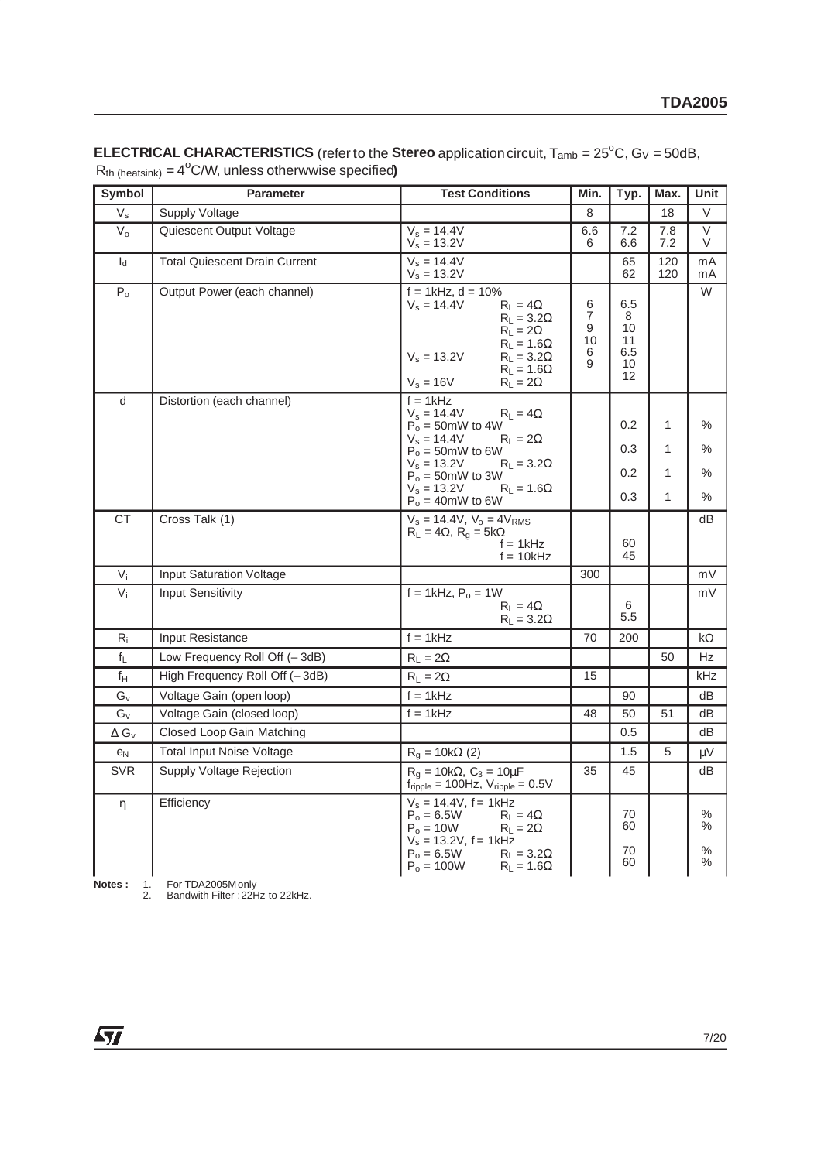| <b>Symbol</b>           | <b>Parameter</b>                     | <b>Test Conditions</b>                                                                                                                                                                                                                                     | Min.                                     | Typ.                                    | Max.                                   | Unit                                        |
|-------------------------|--------------------------------------|------------------------------------------------------------------------------------------------------------------------------------------------------------------------------------------------------------------------------------------------------------|------------------------------------------|-----------------------------------------|----------------------------------------|---------------------------------------------|
| $V_{\rm s}$             | Supply Voltage                       |                                                                                                                                                                                                                                                            | 8                                        |                                         | 18                                     | V                                           |
| $V_{o}$                 | Quiescent Output Voltage             | $V_s = 14.4V$<br>$V_s = 13.2V$                                                                                                                                                                                                                             | 6.6<br>6                                 | 7.2<br>6.6                              | 7.8<br>7.2                             | $\vee$<br>V                                 |
| $I_d$                   | <b>Total Quiescent Drain Current</b> | $V_s = 14.4V$<br>$V_s = 13.2V$                                                                                                                                                                                                                             |                                          | 65<br>62                                | 120<br>120                             | mA<br>mA                                    |
| $P_0$                   | Output Power (each channel)          | $f = 1$ kHz, d = 10%<br>$V_s = 14.4V$<br>$R_L = 4\Omega$<br>$R_L = 3.2\Omega$<br>$R_L = 2\Omega$<br>$R_L = 1.6\Omega$<br>$V_s = 13.2V$<br>$R_L = 3.2\Omega$<br>$R_L = 1.6\Omega$<br>$V_s = 16V$<br>$R_L = 2\Omega$                                         | 6<br>$\overline{7}$<br>9<br>10<br>6<br>9 | 6.5<br>8<br>10<br>11<br>6.5<br>10<br>12 |                                        | W                                           |
| d                       | Distortion (each channel)            | $f = 1kHz$<br>$V_s = 14.4V$<br>$R_L = 4\Omega$<br>$P_0 = 50$ mW to 4W<br>$V_s = 14.4V$<br>$R_1 = 2\Omega$<br>$P_0 = 50$ mW to 6W<br>$V_s = 13.2V$<br>$R_L = 3.2\Omega$<br>$P_0 = 50$ mW to 3W<br>$V_s = 13.2V$<br>$R_L = 1.6\Omega$<br>$P_0 = 40$ mW to 6W |                                          | 0.2<br>0.3<br>0.2<br>0.3                | $\mathbf{1}$<br>1<br>1<br>$\mathbf{1}$ | $\%$<br>$\frac{0}{0}$<br>%<br>$\frac{0}{0}$ |
| <b>CT</b>               | Cross Talk (1)                       | $V_s = 14.4V$ , $V_o = 4V_{RMS}$<br>$R_L = 4\Omega$ , $R_q = 5k\Omega$<br>$f = 1kHz$<br>$f = 10kHz$                                                                                                                                                        |                                          | 60<br>45                                |                                        | dB                                          |
| $V_i$                   | <b>Input Saturation Voltage</b>      |                                                                                                                                                                                                                                                            | 300                                      |                                         |                                        | mV                                          |
| $V_i$                   | <b>Input Sensitivity</b>             | $f = 1$ kHz, $P_0 = 1$ W<br>$R_L = 4\Omega$<br>$R_L = 3.2\Omega$                                                                                                                                                                                           |                                          | 6<br>5.5                                |                                        | mV                                          |
| $R_i$                   | Input Resistance                     | $f = 1kHz$                                                                                                                                                                                                                                                 | 70                                       | 200                                     |                                        | $k\Omega$                                   |
| $\mathsf{f}_\mathsf{L}$ | Low Frequency Roll Off (-3dB)        | $R_L = 2\Omega$                                                                                                                                                                                                                                            |                                          |                                         | 50                                     | Hz                                          |
| $f_H$                   | High Frequency Roll Off (-3dB)       | $R_L = 2\Omega$                                                                                                                                                                                                                                            | 15                                       |                                         |                                        | kHz                                         |
| $G_{\rm V}$             | Voltage Gain (open loop)             | $f = 1kHz$                                                                                                                                                                                                                                                 |                                          | 90                                      |                                        | dB                                          |
| $\mathbb{G}_{\vee}$     | Voltage Gain (closed loop)           | $f = 1kHz$                                                                                                                                                                                                                                                 | 48                                       | 50                                      | 51                                     | dB                                          |
| $\Delta G_V$            | Closed Loop Gain Matching            |                                                                                                                                                                                                                                                            |                                          | 0.5                                     |                                        | dВ                                          |
| e <sub>N</sub>          | <b>Total Input Noise Voltage</b>     | $R_q = 10k\Omega$ (2)                                                                                                                                                                                                                                      |                                          | 1.5                                     | 5                                      | μV                                          |
| <b>SVR</b>              | Supply Voltage Rejection             | $R_{q} = 10k\Omega$ , $C_{3} = 10\mu F$<br>$f_{\text{ripole}} = 100 \text{Hz}$ , $V_{\text{ripole}} = 0.5 \text{V}$                                                                                                                                        | 35                                       | 45                                      |                                        | dB                                          |
| η                       | Efficiency                           | $V_s = 14.4V$ , f = 1kHz<br>$P_0 = 6.5W$<br>$R_L = 4\Omega$<br>$P_0 = 10W$<br>$R_L = 2\Omega$<br>$V_s = 13.2V$ , f = 1kHz<br>$P_0 = 6.5W$<br>$R_L = 3.2\Omega$<br>$P_o = 100W$<br>$R_L = 1.6\Omega$                                                        |                                          | 70<br>60<br>70<br>60                    |                                        | $\%$<br>%<br>℅<br>%                         |

#### **ELECTRICAL CHARACTERISTICS** (refer to the **Stereo** application circuit,  $T_{amb} = 25^{\circ}$ C,  $G_V = 50dB$ ,  $R_{th}$  (heatsink) =  $4^{\circ}$ C/W, unless otherwwise specified)

**Notes :** 1. For TDA2005M only<br>2. Bandwith Filter : 22Hz to 22kHz.

 $\sqrt{11}$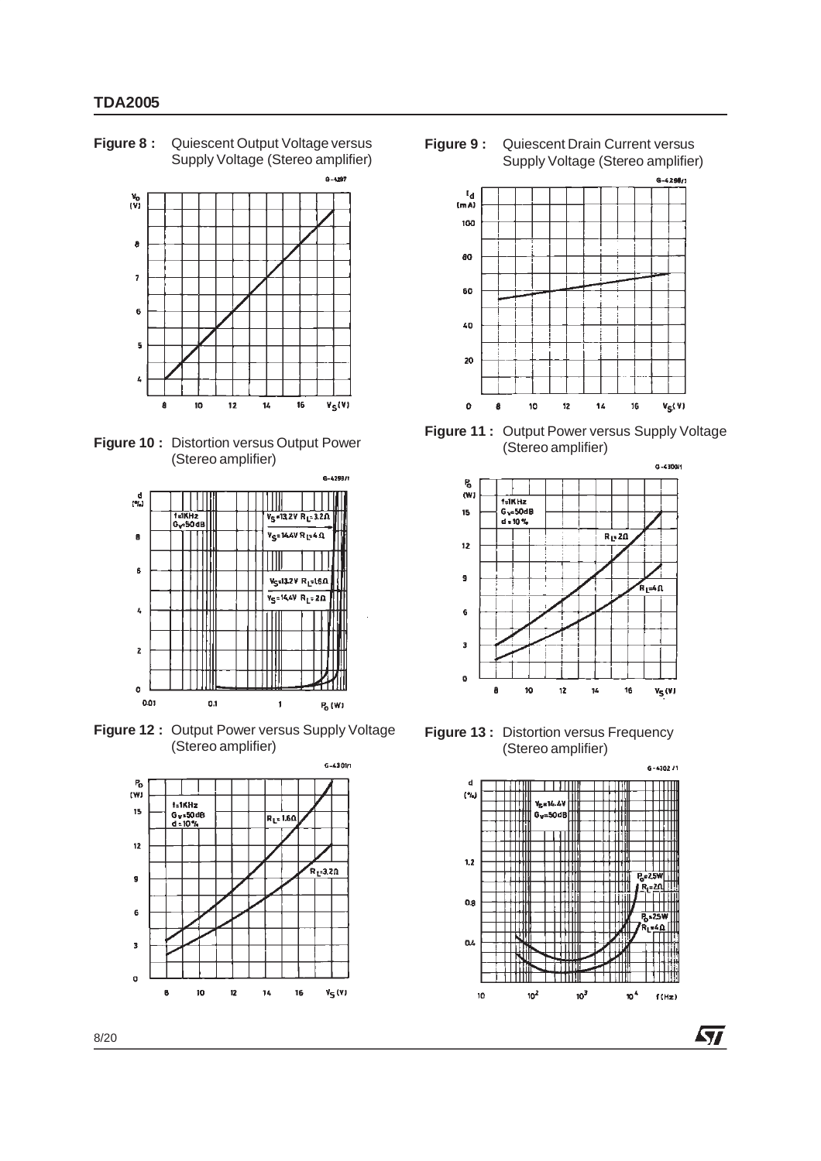**Figure 8 :** Quiescent Output Voltage versus Supply Voltage (Stereo amplifier)







**Figure 12 :** Output Power versus Supply Voltage (Stereo amplifier)



**Figure 9 :** Quiescent Drain Current versus Supply Voltage (Stereo amplifier)



**Figure 11 :** Output Power versus Supply Voltage (Stereo amplifier)



**Figure 13:** Distortion versus Frequency (Stereo amplifier)



**STI**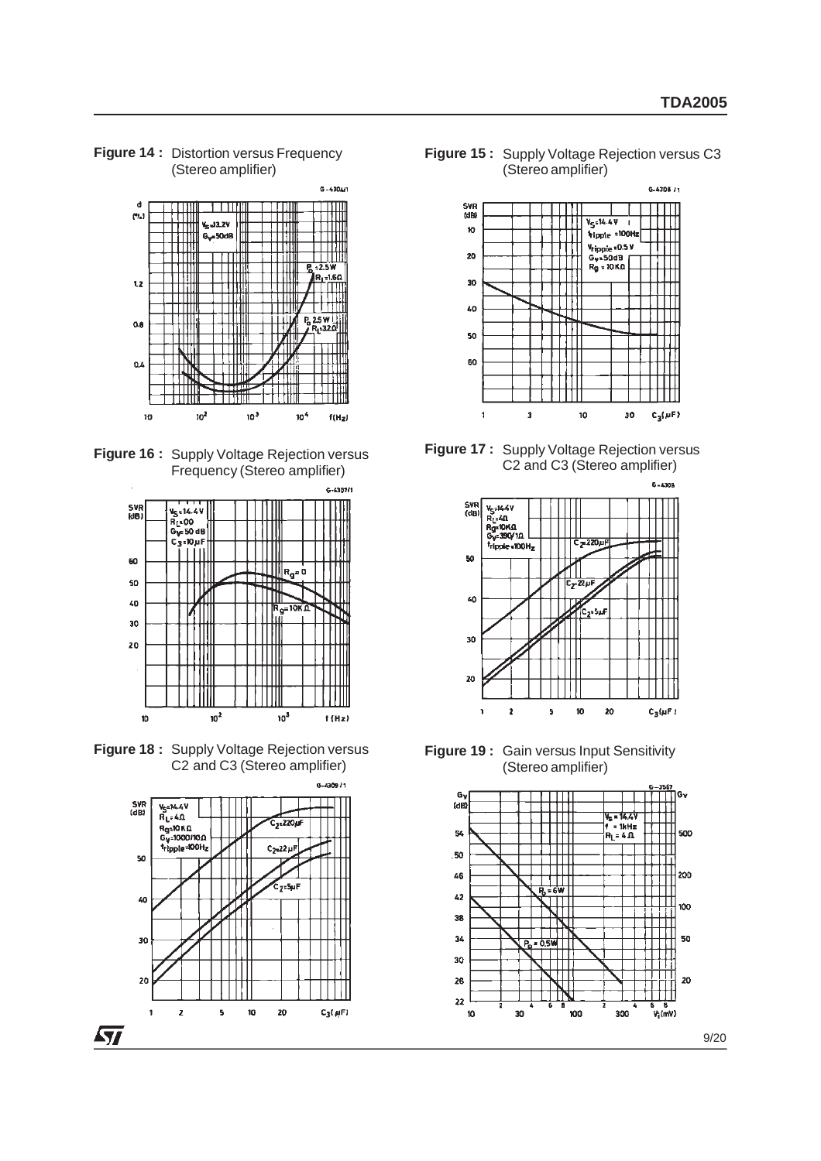**Figure 14 :** Distortion versus Frequency (Stereo amplifier)



**Figure 16 :** Supply Voltage Rejection versus Frequency (Stereo amplifier)



**Figure 18 :** Supply Voltage Rejection versus C2 and C3 (Stereo amplifier)



**Figure 15 :** Supply Voltage Rejection versus C3 (Stereo amplifier)



**Figure 17 :** Supply Voltage Rejection versus C2 and C3 (Stereo amplifier)



**Figure 19 :** Gain versus Input Sensitivity (Stereo amplifier)

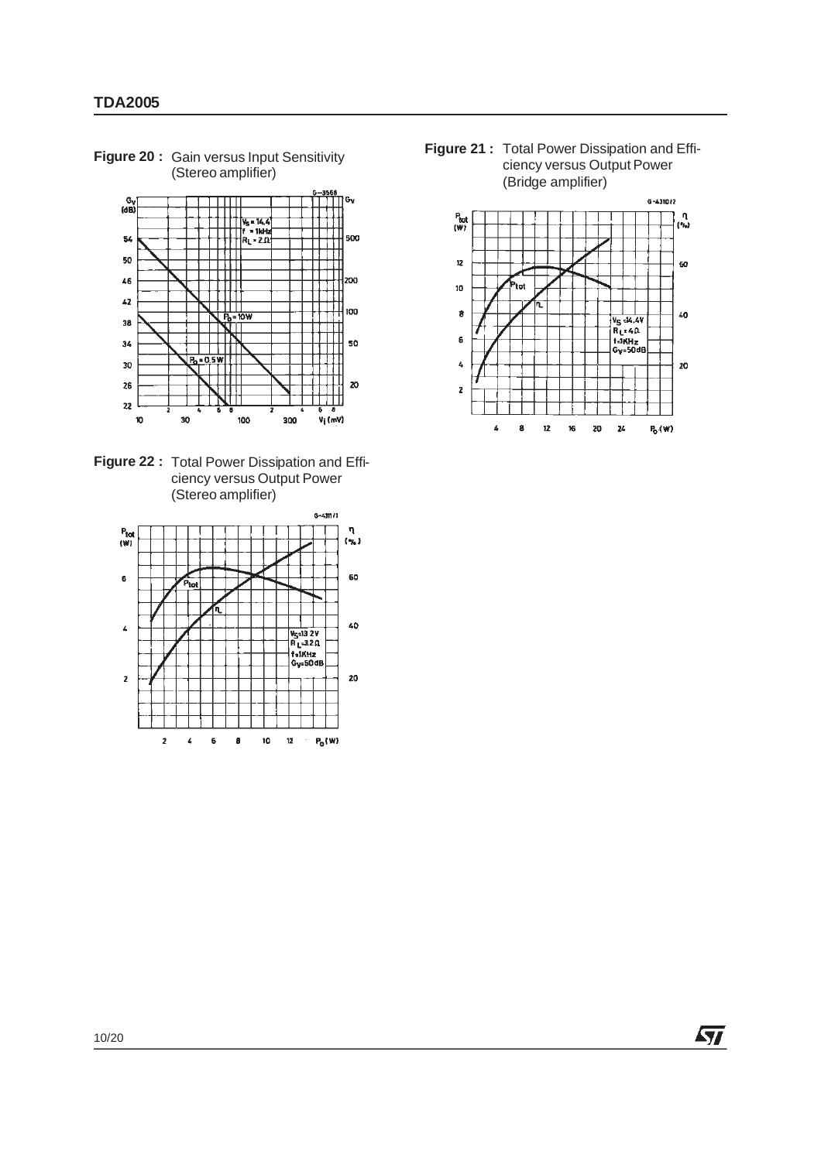**Figure 20:** Gain versus Input Sensitivity (Stereo amplifier)



**Figure 22 :** Total Power Dissipation and Efficiency versus Output Power (Stereo amplifier)



**Figure 21 :** Total Power Dissipation and Efficiency versus Output Power (Bridge amplifier)



*ST*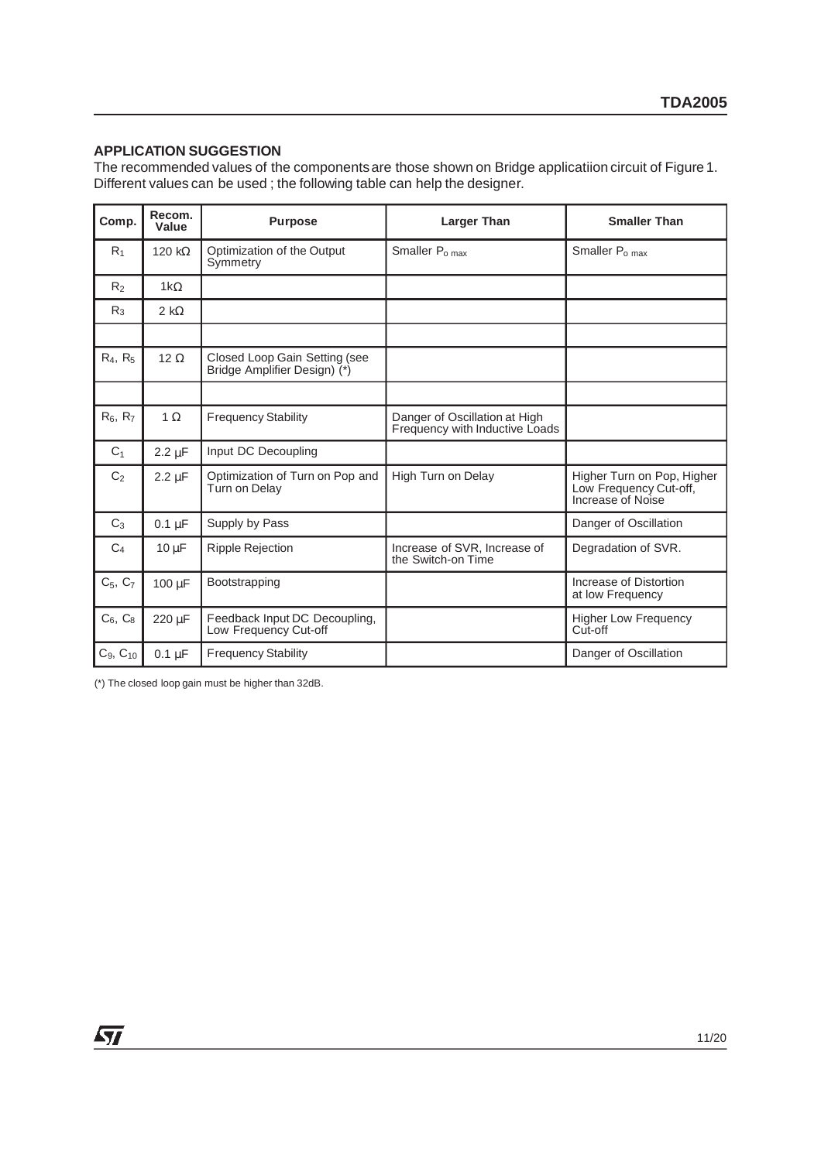#### **APPLICATION SUGGESTION**

The recommended values of the componentsare those shown on Bridge applicatiion circuit of Figure 1. Different values can be used ; the following table can help the designer.

| Comp.          | Recom.<br>Value | <b>Purpose</b>                                                | <b>Larger Than</b>                                              | <b>Smaller Than</b>                                                       |
|----------------|-----------------|---------------------------------------------------------------|-----------------------------------------------------------------|---------------------------------------------------------------------------|
| R <sub>1</sub> | 120 k $\Omega$  | Optimization of the Output<br>Symmetry                        | Smaller P <sub>o max</sub>                                      | Smaller P <sub>o max</sub>                                                |
| R <sub>2</sub> | $1k\Omega$      |                                                               |                                                                 |                                                                           |
| R <sub>3</sub> | 2 k $\Omega$    |                                                               |                                                                 |                                                                           |
|                |                 |                                                               |                                                                 |                                                                           |
| $R_4, R_5$     | 12 $\Omega$     | Closed Loop Gain Setting (see<br>Bridge Amplifier Design) (*) |                                                                 |                                                                           |
|                |                 |                                                               |                                                                 |                                                                           |
| $R_6, R_7$     | $1 \Omega$      | <b>Frequency Stability</b>                                    | Danger of Oscillation at High<br>Frequency with Inductive Loads |                                                                           |
| C <sub>1</sub> | $2.2 \mu F$     | Input DC Decoupling                                           |                                                                 |                                                                           |
| C <sub>2</sub> | $2.2 \mu F$     | Optimization of Turn on Pop and<br>Turn on Delay              | High Turn on Delay                                              | Higher Turn on Pop, Higher<br>Low Frequency Cut-off,<br>Increase of Noise |
| $C_3$          | $0.1 \mu F$     | Supply by Pass                                                |                                                                 | Danger of Oscillation                                                     |
| C <sub>4</sub> | $10 \mu F$      | <b>Ripple Rejection</b>                                       | Increase of SVR, Increase of<br>the Switch-on Time              | Degradation of SVR.                                                       |
| $C_5, C_7$     | $100 \mu F$     | Bootstrapping                                                 |                                                                 | Increase of Distortion<br>at low Frequency                                |
| $C6$ , $C8$    | 220 µF          | Feedback Input DC Decoupling,<br>Low Frequency Cut-off        |                                                                 | <b>Higher Low Frequency</b><br>Cut-off                                    |
| $C_9, C_{10}$  | $0.1 \mu F$     | <b>Frequency Stability</b>                                    |                                                                 | Danger of Oscillation                                                     |

(\*) The closed loop gain must be higher than 32dB.

 $\sqrt{11}$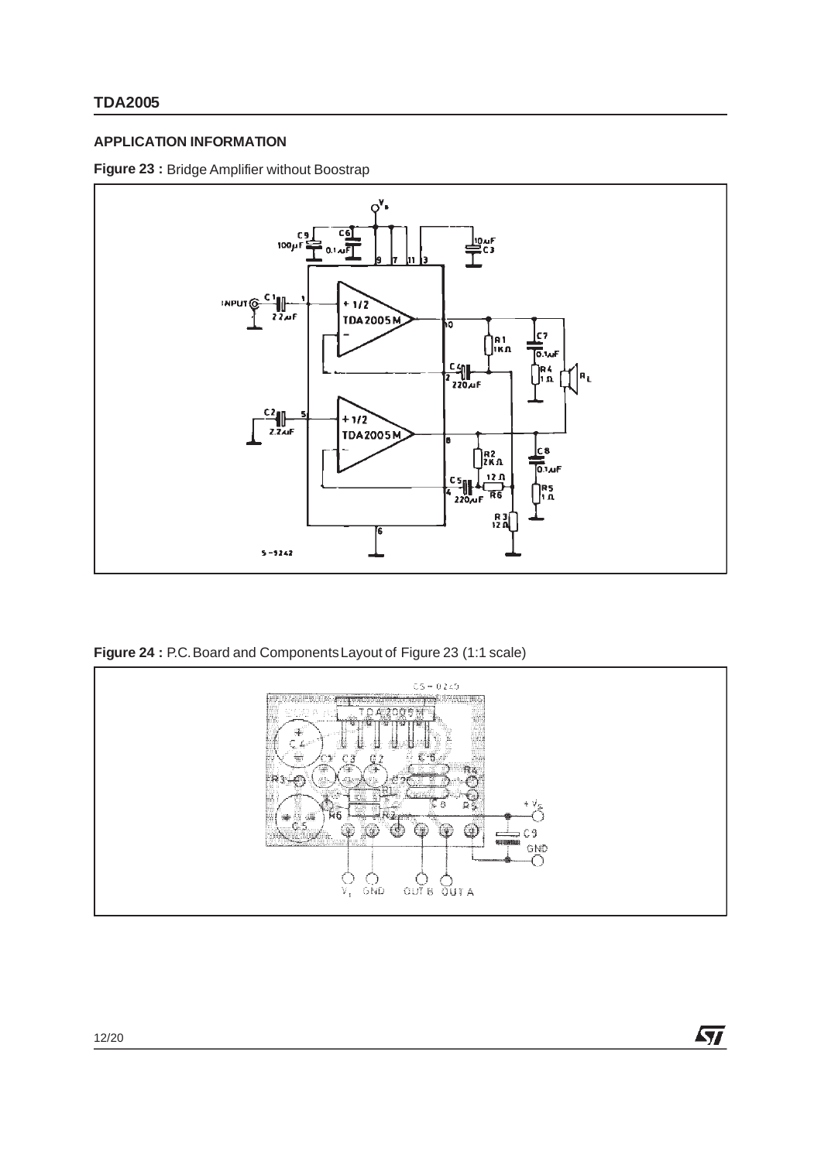## **APPLICATION INFORMATION**

### **Figure 23 :** Bridge Amplifier without Boostrap



**Figure 24 :** P.C.Board and ComponentsLayout of Figure 23 (1:1 scale)



 $\sqrt{M}$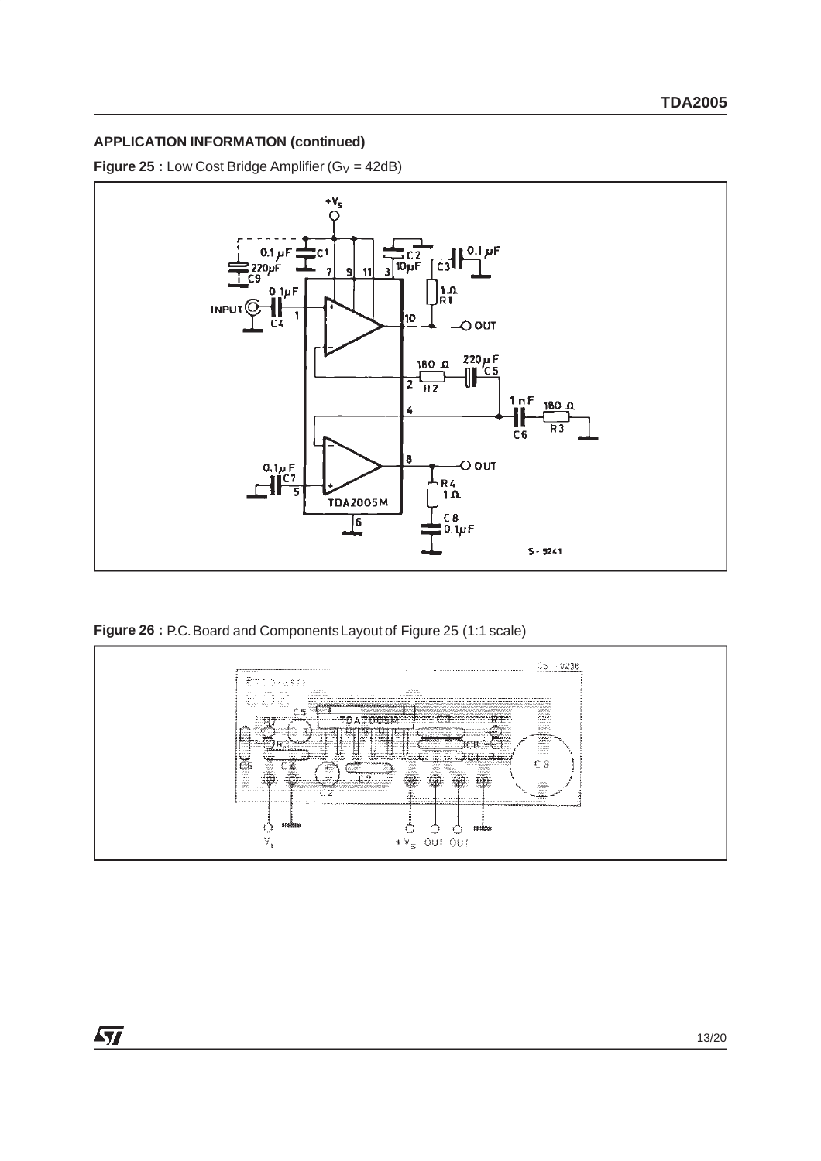**Figure 25 :** Low Cost Bridge Amplifier  $(G_V = 42dB)$ 



**Figure 26 :** P.C.Board and ComponentsLayout of Figure 25 (1:1 scale)

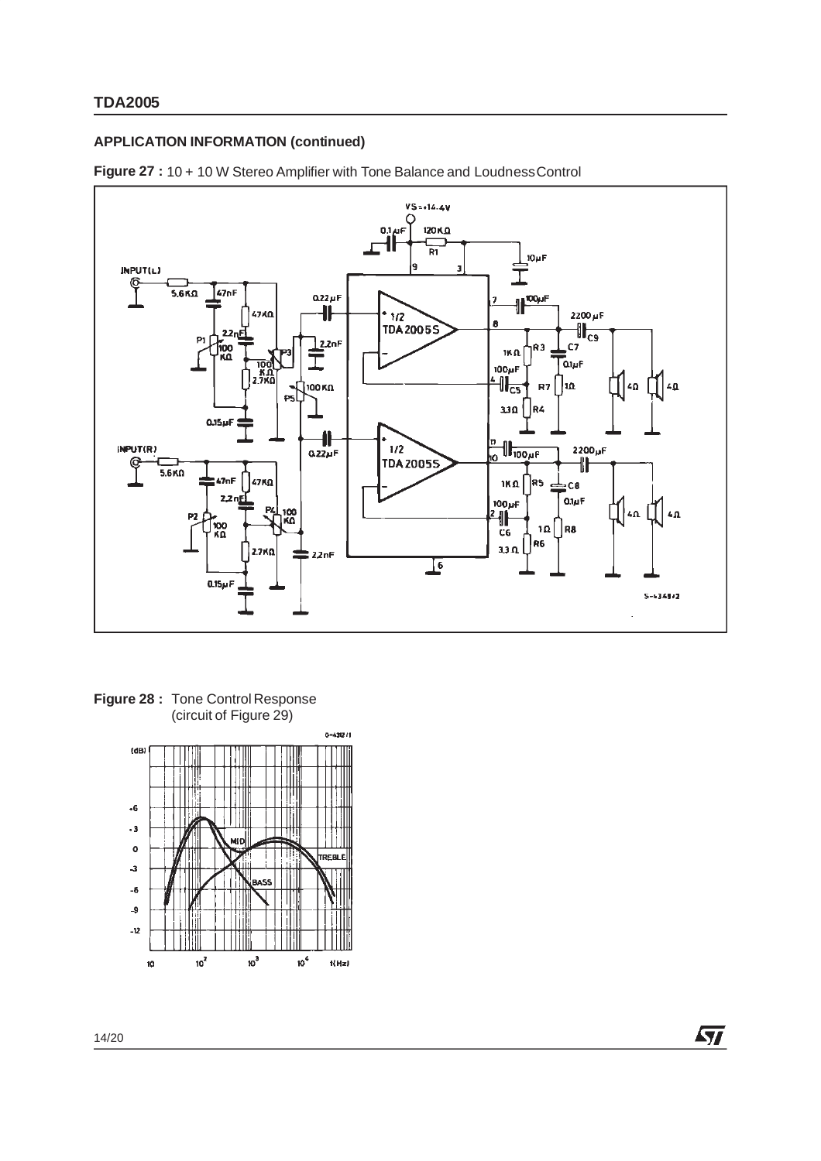



**Figure 28 :** Tone Control Response (circuit of Figure 29)



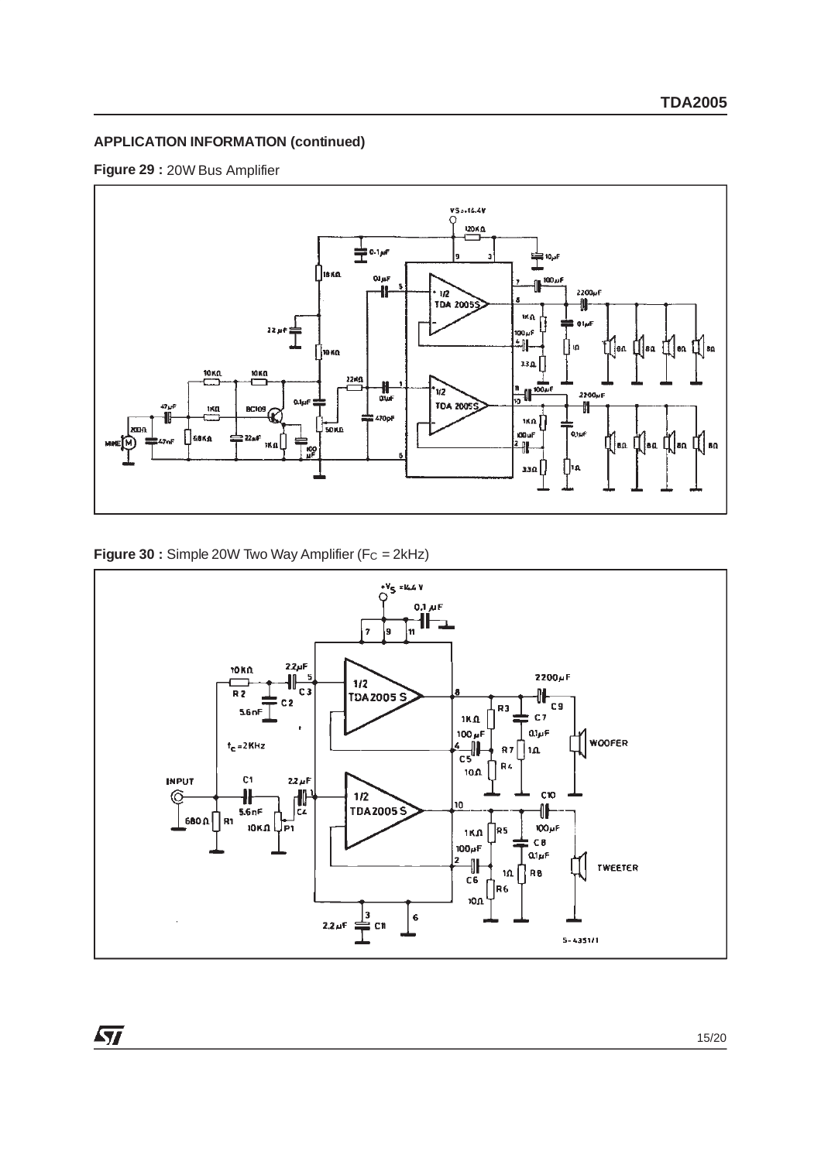



**Figure 30 :** Simple 20W Two Way Amplifier (F<sub>C</sub> = 2kHz)

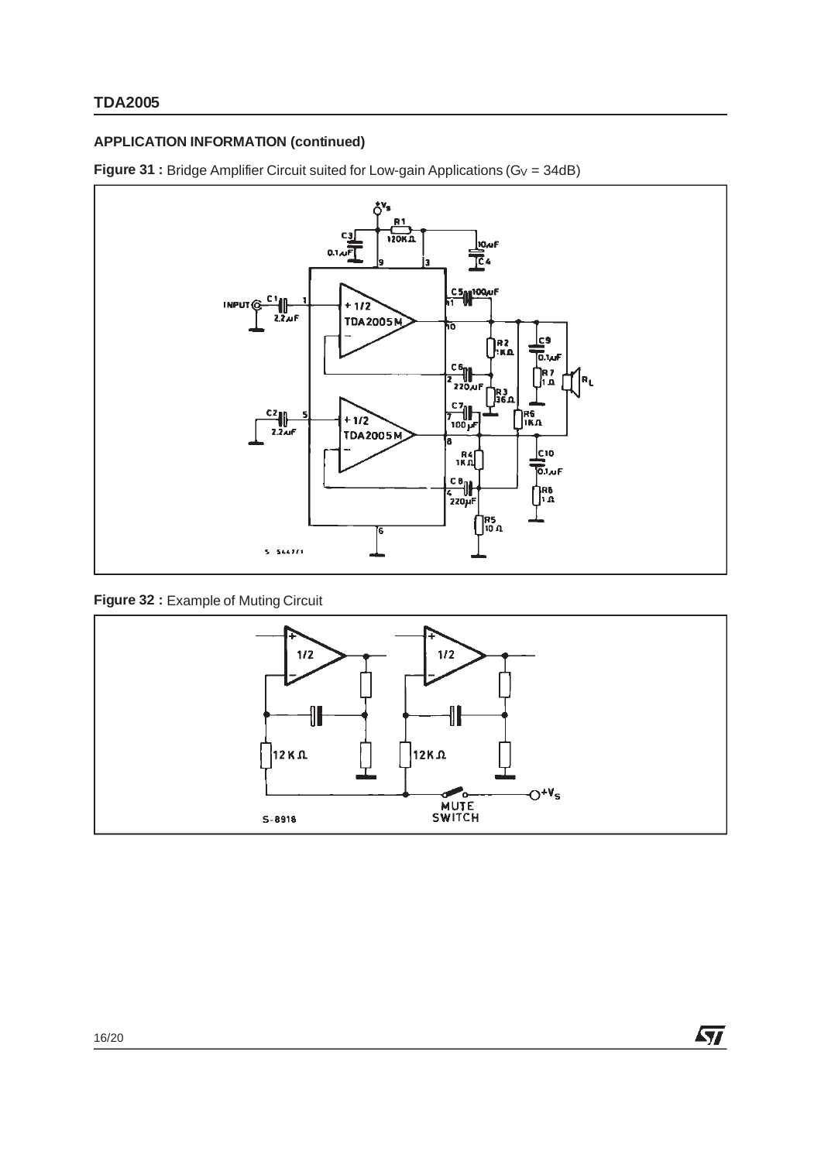**Figure 31 :** Bridge Amplifier Circuit suited for Low-gain Applications ( $G_V = 34dB$ )



# **Figure 32 :** Example of Muting Circuit



 $\sqrt{M}$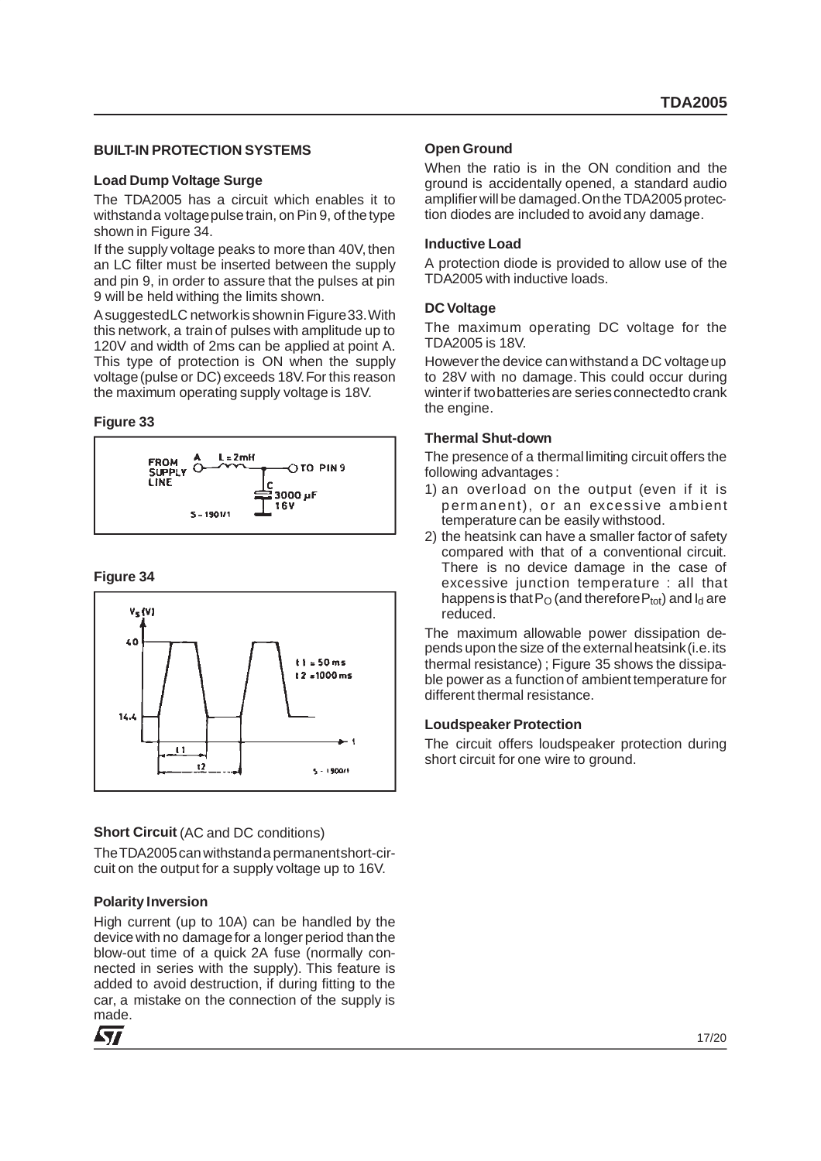#### **BUILT-IN PROTECTION SYSTEMS**

#### **Load Dump Voltage Surge**

The TDA2005 has a circuit which enables it to withstanda voltagepulse train, on Pin 9, of the type shown in Figure 34.

If the supply voltage peaks to more than 40V, then an LC filter must be inserted between the supply and pin 9, in order to assure that the pulses at pin 9 will be held withing the limits shown.

AsuggestedLC networkis shownin Figure33.With this network, a train of pulses with amplitude up to 120V and width of 2ms can be applied at point A. This type of protection is ON when the supply voltage(pulse or DC) exceeds 18V.For this reason the maximum operating supply voltage is 18V.

#### **Figure 33**



#### **Figure 34**



#### **Short Circuit** (AC and DC conditions)

TheTDA2005canwithstanda permanentshort-circuit on the output for a supply voltage up to 16V.

#### **Polarity Inversion**

High current (up to 10A) can be handled by the device with no damagefor a longer period than the blow-out time of a quick 2A fuse (normally connected in series with the supply). This feature is added to avoid destruction, if during fitting to the car, a mistake on the connection of the supply is made.



#### **Open Ground**

When the ratio is in the ON condition and the ground is accidentally opened, a standard audio amplifier will be damaged.Onthe TDA2005 protection diodes are included to avoidany damage.

#### **Inductive Load**

A protection diode is provided to allow use of the TDA2005 with inductive loads.

#### **DC Voltage**

The maximum operating DC voltage for the TDA2005 is 18V.

However the device canwithstand a DC voltageup to 28V with no damage. This could occur during winterif twobatteriesare seriesconnectedto crank the engine.

#### **Thermal Shut-down**

The presence of a thermallimiting circuit offers the following advantages :

- 1) an overload on the output (even if it is permanent), or an excessive ambient temperature can be easily withstood.
- 2) the heatsink can have a smaller factor of safety compared with that of a conventional circuit. There is no device damage in the case of excessive junction temperature : all that happens is that  $P_O$  (and therefore  $P_{tot}$ ) and  $I_d$  are reduced.

The maximum allowable power dissipation depends upon the size of the externalheatsink(i.e.its thermal resistance) ; Figure 35 shows the dissipable power as a function of ambient temperature for different thermal resistance.

#### **Loudspeaker Protection**

The circuit offers loudspeaker protection during short circuit for one wire to ground.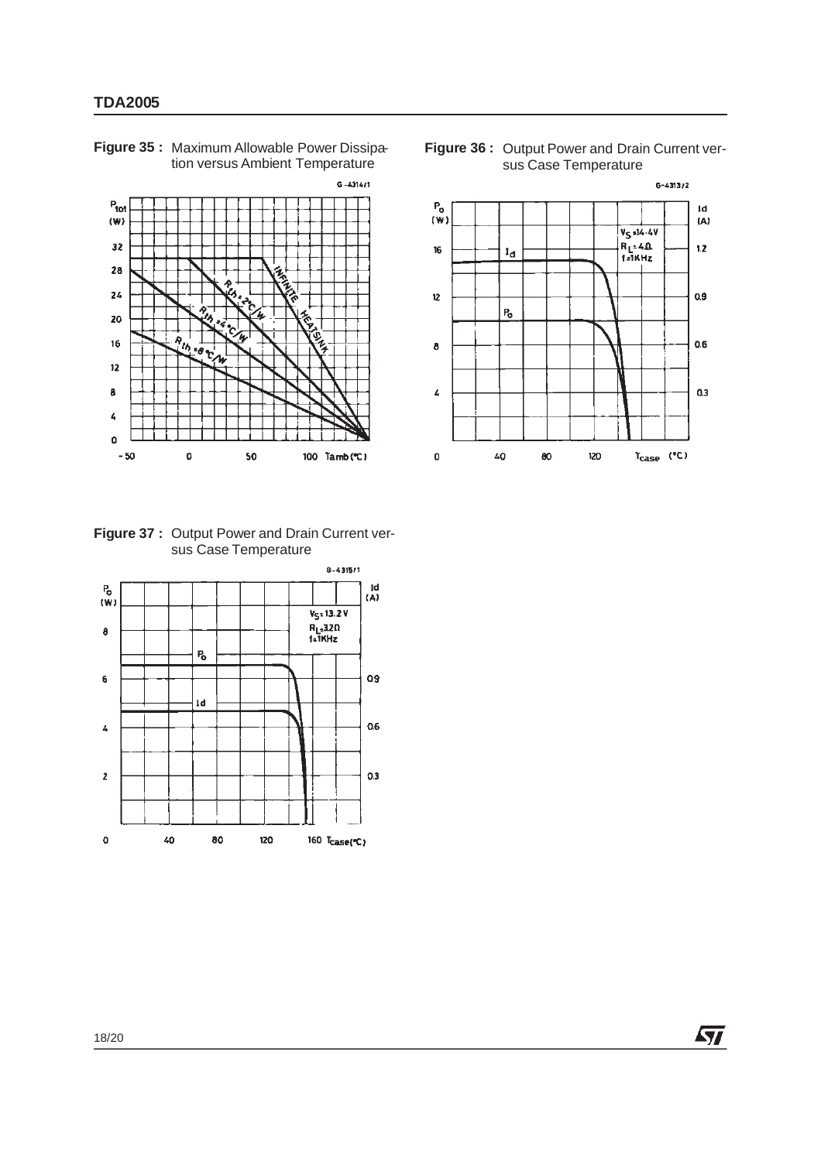

**Figure 35 :** Maximum Allowable Power Dissipation versus Ambient Temperature





**Figure 37 :** Output Power and Drain Current versus Case Temperature

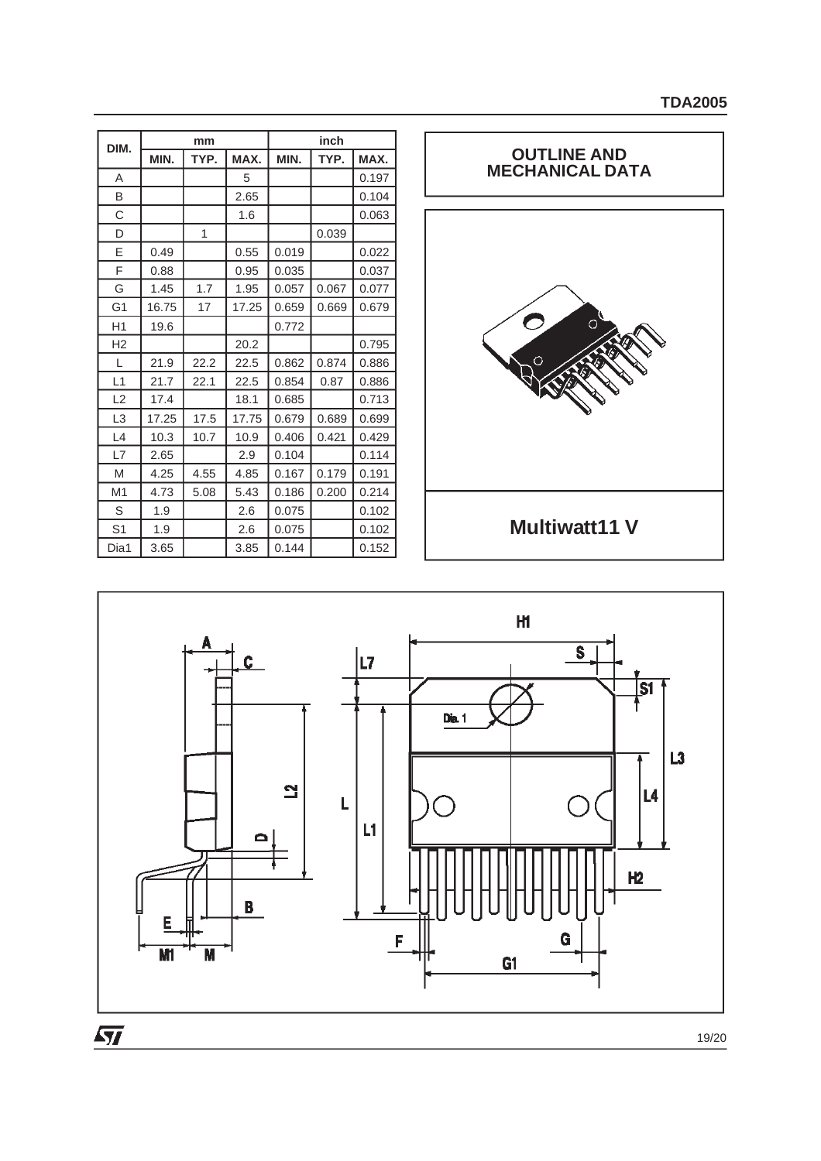| DIM.           |       | mm   |       |       | inch  |       |
|----------------|-------|------|-------|-------|-------|-------|
|                | MIN.  | TYP. | MAX.  | MIN.  | TYP.  | MAX.  |
| Α              |       |      | 5     |       |       | 0.197 |
| B              |       |      | 2.65  |       |       | 0.104 |
| С              |       |      | 1.6   |       |       | 0.063 |
| D              |       | 1    |       |       | 0.039 |       |
| E              | 0.49  |      | 0.55  | 0.019 |       | 0.022 |
| F              | 0.88  |      | 0.95  | 0.035 |       | 0.037 |
| G              | 1.45  | 1.7  | 1.95  | 0.057 | 0.067 | 0.077 |
| G <sub>1</sub> | 16.75 | 17   | 17.25 | 0.659 | 0.669 | 0.679 |
| H1             | 19.6  |      |       | 0.772 |       |       |
| H <sub>2</sub> |       |      | 20.2  |       |       | 0.795 |
| L              | 21.9  | 22.2 | 22.5  | 0.862 | 0.874 | 0.886 |
| L1             | 21.7  | 22.1 | 22.5  | 0.854 | 0.87  | 0.886 |
| L2             | 17.4  |      | 18.1  | 0.685 |       | 0.713 |
| L3             | 17.25 | 17.5 | 17.75 | 0.679 | 0.689 | 0.699 |
| L4             | 10.3  | 10.7 | 10.9  | 0.406 | 0.421 | 0.429 |
| L7             | 2.65  |      | 2.9   | 0.104 |       | 0.114 |
| M              | 4.25  | 4.55 | 4.85  | 0.167 | 0.179 | 0.191 |
| M <sub>1</sub> | 4.73  | 5.08 | 5.43  | 0.186 | 0.200 | 0.214 |
| S              | 1.9   |      | 2.6   | 0.075 |       | 0.102 |
| S <sub>1</sub> | 1.9   |      | 2.6   | 0.075 |       | 0.102 |
| Dia1           | 3.65  |      | 3.85  | 0.144 |       | 0.152 |





19/20